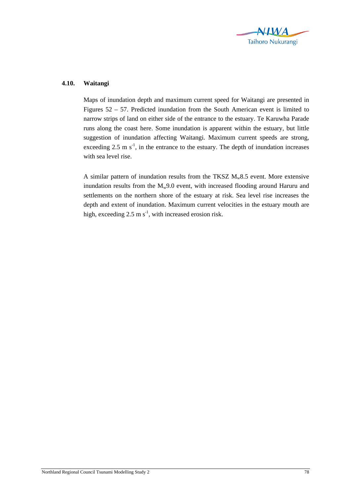

## **4.10. Waitangi**

Maps of inundation depth and maximum current speed for Waitangi are presented in Figures 52 – 57. Predicted inundation from the South American event is limited to narrow strips of land on either side of the entrance to the estuary. Te Karuwha Parade runs along the coast here. Some inundation is apparent within the estuary, but little suggestion of inundation affecting Waitangi. Maximum current speeds are strong, exceeding 2.5 m  $s^{-1}$ , in the entrance to the estuary. The depth of inundation increases with sea level rise.

A similar pattern of inundation results from the TKSZ  $M_w 8.5$  event. More extensive inundation results from the  $M_w9.0$  event, with increased flooding around Haruru and settlements on the northern shore of the estuary at risk. Sea level rise increases the depth and extent of inundation. Maximum current velocities in the estuary mouth are high, exceeding  $2.5 \text{ m s}^{-1}$ , with increased erosion risk.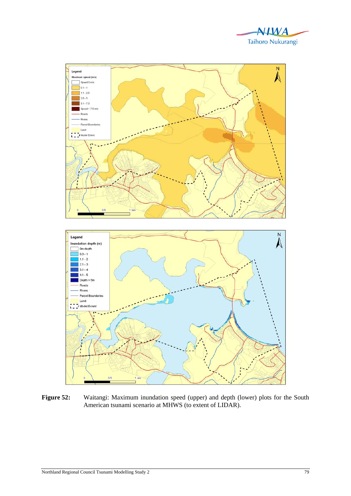



Figure 52: Waitangi: Maximum inundation speed (upper) and depth (lower) plots for the South American tsunami scenario at MHWS (to extent of LIDAR).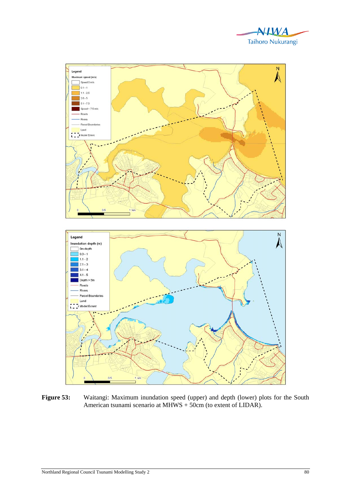



Figure 53: Waitangi: Maximum inundation speed (upper) and depth (lower) plots for the South American tsunami scenario at MHWS + 50cm (to extent of LIDAR).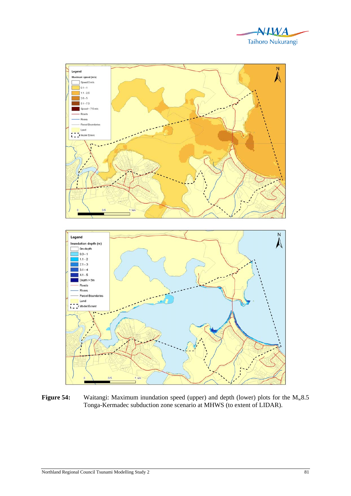



**Figure 54:** Waitangi: Maximum inundation speed (upper) and depth (lower) plots for the M<sub>w</sub>8.5 Tonga-Kermadec subduction zone scenario at MHWS (to extent of LIDAR).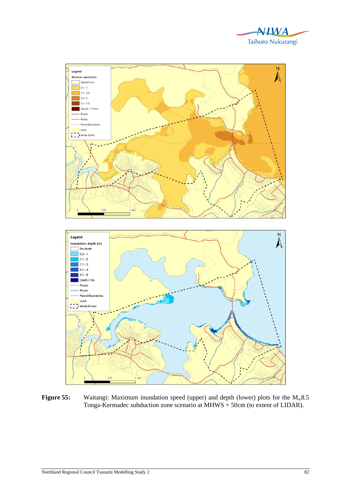



**Figure 55:** Waitangi: Maximum inundation speed (upper) and depth (lower) plots for the M<sub>w</sub>8.5 Tonga-Kermadec subduction zone scenario at MHWS + 50cm (to extent of LIDAR).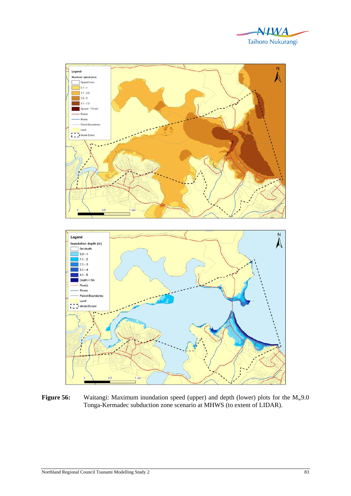



**Figure 56:** Waitangi: Maximum inundation speed (upper) and depth (lower) plots for the M<sub>w</sub>9.0 Tonga-Kermadec subduction zone scenario at MHWS (to extent of LIDAR).